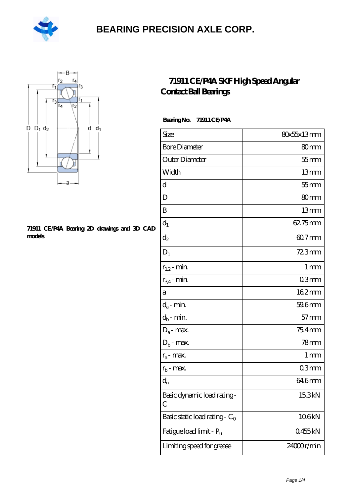



#### **[71911 CE/P4A Bearing 2D drawings and 3D CAD](https://m.hilalanaokulu.com/pic-660711.html) [models](https://m.hilalanaokulu.com/pic-660711.html)**

#### **[71911 CE/P4A SKF High Speed Angular](https://m.hilalanaokulu.com/skf-bearings/71911-ce-p4a.html) [Contact Ball Bearings](https://m.hilalanaokulu.com/skf-bearings/71911-ce-p4a.html)**

 **Bearing No. 71911 CE/P4A**

| Size                                | 80x55x13mm        |
|-------------------------------------|-------------------|
| <b>Bore Diameter</b>                | 80mm              |
| Outer Diameter                      | $55$ mm           |
| Width                               | 13mm              |
| d                                   | $55$ mm           |
| D                                   | 80 <sub>mm</sub>  |
| B                                   | 13mm              |
| $d_1$                               | 62.75mm           |
| $\mathrm{d}_2$                      | $607$ mm          |
| $\mathbf{D}_1$                      | 723mm             |
| $r_{1,2}$ - min.                    | $1 \,\mathrm{mm}$ |
| $r_{34}$ - min.                     | 03 <sub>mm</sub>  |
| а                                   | 162mm             |
| $d_a$ - min.                        | 59.6mm            |
| $d_b$ - min.                        | $57$ mm           |
| $D_a$ - max.                        | $754$ mm          |
| $D_b$ - max.                        | 78 <sub>mm</sub>  |
| $r_a$ - max.                        | 1 mm              |
| $r_{b}$ - max.                      | 03mm              |
| $\mathbf{d}_{\rm n}$                | 64.6mm            |
| Basic dynamic load rating-<br>С     | 15.3kN            |
| Basic static load rating - $C_0$    | 106kN             |
| Fatigue load limit - P <sub>u</sub> | 0455kN            |
| Limiting speed for grease           | 24000r/min        |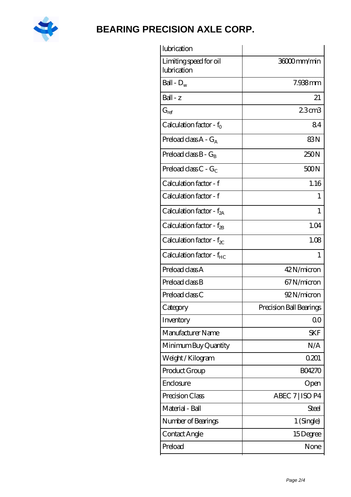

| lubrication                           |                         |
|---------------------------------------|-------------------------|
| Limiting speed for oil<br>lubrication | 36000mm/min             |
| Ball - $D_w$                          | $7.938$ mm              |
| Ball - z                              | 21                      |
| $G_{ref}$                             | 23cm <sub>3</sub>       |
| Calculation factor - $f_0$            | 84                      |
| Preload class $A - G_A$               | 83N                     |
| Preload class $B - G_R$               | 250N                    |
| Preload class $C - G_C$               | 500N                    |
| Calculation factor - f                | 1.16                    |
| Calculation factor - f                | 1                       |
| Calculation factor - $f_{2A}$         | 1                       |
| Calculation factor - $f_{\rm 2B}$     | 1.04                    |
| Calculation factor - $f_{\chi}$       | 1.08                    |
| Calculation factor - $f_{HC}$         | $\mathbf{1}$            |
| Preload class A                       | 42N/micron              |
| Preload class B                       | 67N/micron              |
| Preload class C                       | 92N/micron              |
| Category                              | Precision Ball Bearings |
| Inventory                             | 0 <sup>0</sup>          |
| Manufacturer Name                     | <b>SKF</b>              |
| Minimum Buy Quantity                  | N/A                     |
| Weight / Kilogram                     | 0201                    |
| Product Group                         | <b>BO4270</b>           |
| Enclosure                             | Open                    |
| Precision Class                       | ABEC 7   ISO P4         |
| Material - Ball                       | <b>Steel</b>            |
| Number of Bearings                    | 1 (Single)              |
| Contact Angle                         | 15Degree                |
| Preload                               | None                    |
|                                       |                         |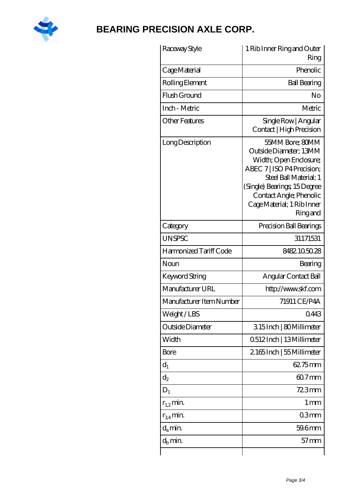

| Raceway Style            | 1 Rib Inner Ring and Outer                                                                                                                                                                                                     |
|--------------------------|--------------------------------------------------------------------------------------------------------------------------------------------------------------------------------------------------------------------------------|
|                          | Ring                                                                                                                                                                                                                           |
| Cage Material            | Phenolic                                                                                                                                                                                                                       |
| Rolling Element          | <b>Ball Bearing</b>                                                                                                                                                                                                            |
| Flush Ground             | No                                                                                                                                                                                                                             |
| Inch - Metric            | Metric                                                                                                                                                                                                                         |
| Other Features           | Single Row   Angular<br>Contact   High Precision                                                                                                                                                                               |
| Long Description         | 55MM Bore; 80MM<br>Outside Diameter; 13MM<br>Width; Open Enclosure;<br>ABEC 7   ISO P4 Precision;<br>Steel Ball Material; 1<br>(Single) Bearings, 15Degree<br>Contact Angle; Phenolic<br>Cage Material; 1 Rib Inner<br>Ringand |
| Category                 | Precision Ball Bearings                                                                                                                                                                                                        |
| <b>UNSPSC</b>            | 31171531                                                                                                                                                                                                                       |
| Harmonized Tariff Code   | 8482105028                                                                                                                                                                                                                     |
| Noun                     | Bearing                                                                                                                                                                                                                        |
| Keyword String           | Angular Contact Ball                                                                                                                                                                                                           |
| Manufacturer URL         | http://www.skf.com                                                                                                                                                                                                             |
| Manufacturer Item Number | 71911 CE/P4A                                                                                                                                                                                                                   |
| Weight/LBS               | 0443                                                                                                                                                                                                                           |
| Outside Diameter         | 315Inch   80Millimeter                                                                                                                                                                                                         |
| Width                    | 0512Inch   13Millimeter                                                                                                                                                                                                        |
| Bore                     | 2165Inch   55Millimeter                                                                                                                                                                                                        |
| $d_1$                    | 62.75mm                                                                                                                                                                                                                        |
| $d_2$                    | $607$ mm                                                                                                                                                                                                                       |
| $D_1$                    | $723$ mm                                                                                                                                                                                                                       |
| $r_{1,2}$ min.           | $1 \,\mathrm{mm}$                                                                                                                                                                                                              |
| $r_{34}$ min.            | 03 <sub>mm</sub>                                                                                                                                                                                                               |
| $d_{a}$ min.             | 59.6mm                                                                                                                                                                                                                         |
| $d_b$ min.               | $57 \text{mm}$                                                                                                                                                                                                                 |
|                          |                                                                                                                                                                                                                                |